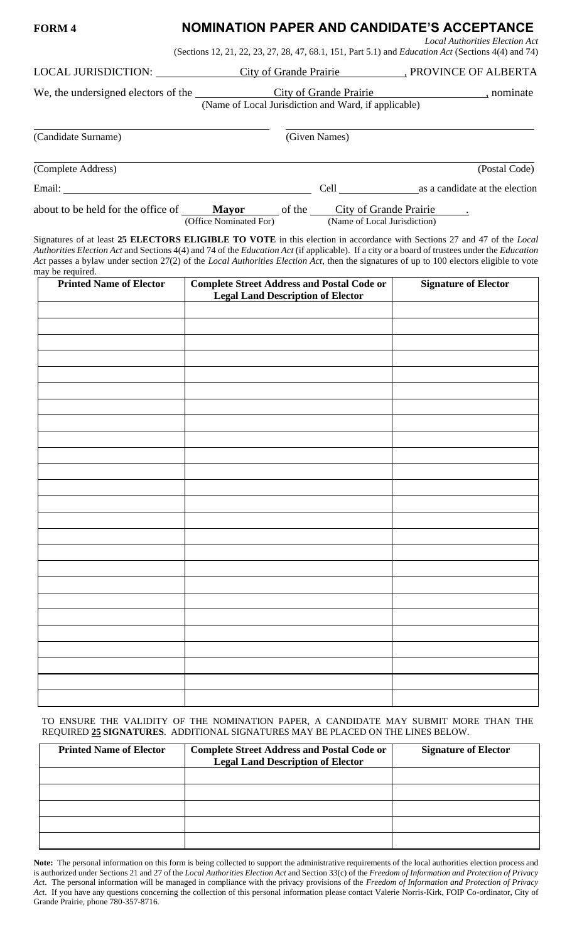## **FORM 4 NOMINATION PAPER AND CANDIDATE'S ACCEPTANCE** *Local Authorities Election Act*

(Sections 12, 21, 22, 23, 27, 28, 47, 68.1, 151, Part 5.1) and *Education Act* (Sections 4(4) and 74)

| <b>LOCAL JURISDICTION:</b> |  |
|----------------------------|--|
|                            |  |

We, the undersigned electors of the City of Grande Prairie , nominate

City of Grande Prairie , PROVINCE OF ALBERTA

| uie | CITY OF CHANGE PTAILE                                |  |  |  |
|-----|------------------------------------------------------|--|--|--|
|     | (Name of Local Jurisdiction and Ward, if applicable) |  |  |  |

(Candidate Surname) (Given Names)

(Complete Address) (Postal Code) Email: Cell as a candidate at the election

about to be held for the office of **Mayor** of the City of Grande Prairie . (Office Nominated For) (Name of Local Jurisdiction)

Signatures of at least **25 ELECTORS ELIGIBLE TO VOTE** in this election in accordance with Sections 27 and 47 of the *Local Authorities Election Act* and Sections 4(4) and 74 of the *Education Act* (if applicable). If a city or a board of trustees under the *Education Act* passes a bylaw under section 27(2) of the *Local Authorities Election Act*, then the signatures of up to 100 electors eligible to vote may be required.

| <b>Printed Name of Elector</b> | <b>Complete Street Address and Postal Code or</b> | <b>Signature of Elector</b> |
|--------------------------------|---------------------------------------------------|-----------------------------|
|                                | <b>Legal Land Description of Elector</b>          |                             |
|                                |                                                   |                             |
|                                |                                                   |                             |
|                                |                                                   |                             |
|                                |                                                   |                             |
|                                |                                                   |                             |
|                                |                                                   |                             |
|                                |                                                   |                             |
|                                |                                                   |                             |
|                                |                                                   |                             |
|                                |                                                   |                             |
|                                |                                                   |                             |
|                                |                                                   |                             |
|                                |                                                   |                             |
|                                |                                                   |                             |
|                                |                                                   |                             |
|                                |                                                   |                             |
|                                |                                                   |                             |
|                                |                                                   |                             |
|                                |                                                   |                             |
|                                |                                                   |                             |
|                                |                                                   |                             |
|                                |                                                   |                             |
|                                |                                                   |                             |
|                                |                                                   |                             |
|                                |                                                   |                             |

TO ENSURE THE VALIDITY OF THE NOMINATION PAPER, A CANDIDATE MAY SUBMIT MORE THAN THE REQUIRED **25 SIGNATURES**. ADDITIONAL SIGNATURES MAY BE PLACED ON THE LINES BELOW.

| <b>Printed Name of Elector</b> | <b>Complete Street Address and Postal Code or</b><br><b>Legal Land Description of Elector</b> | <b>Signature of Elector</b> |
|--------------------------------|-----------------------------------------------------------------------------------------------|-----------------------------|
|                                |                                                                                               |                             |
|                                |                                                                                               |                             |
|                                |                                                                                               |                             |
|                                |                                                                                               |                             |
|                                |                                                                                               |                             |

**Note:** The personal information on this form is being collected to support the administrative requirements of the local authorities election process and is authorized under Sections 21 and 27 of the *Local Authorities Election Act* and Section 33(c) of the *Freedom of Information and Protection of Privacy Act*. The personal information will be managed in compliance with the privacy provisions of the *Freedom of Information and Protection of Privacy Act*. If you have any questions concerning the collection of this personal information please contact Valerie Norris-Kirk, FOIP Co-ordinator, City of Grande Prairie, phone 780-357-8716.